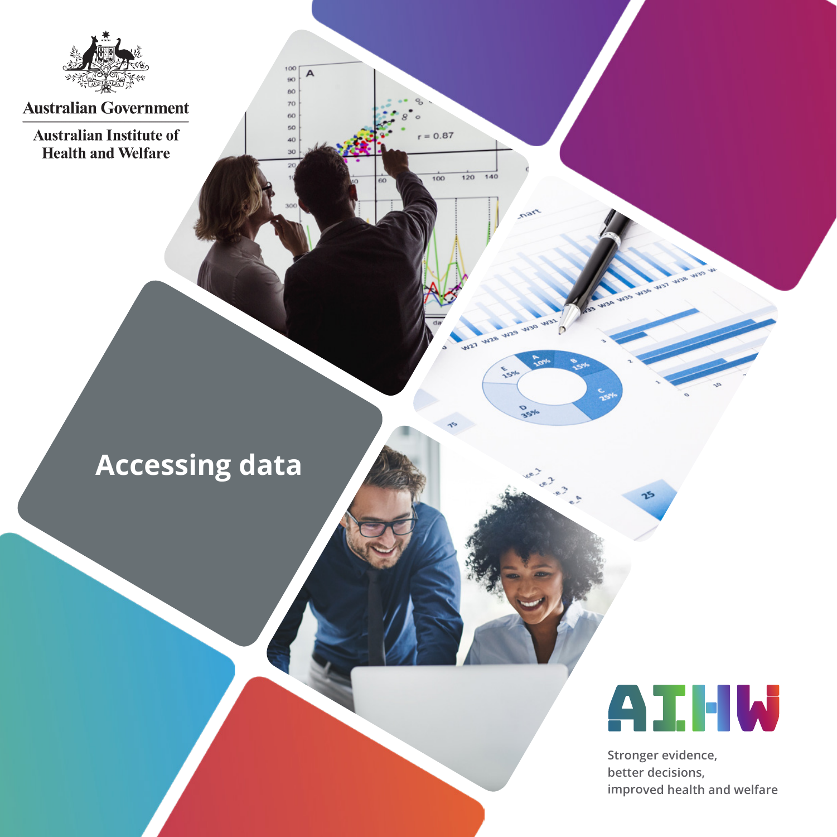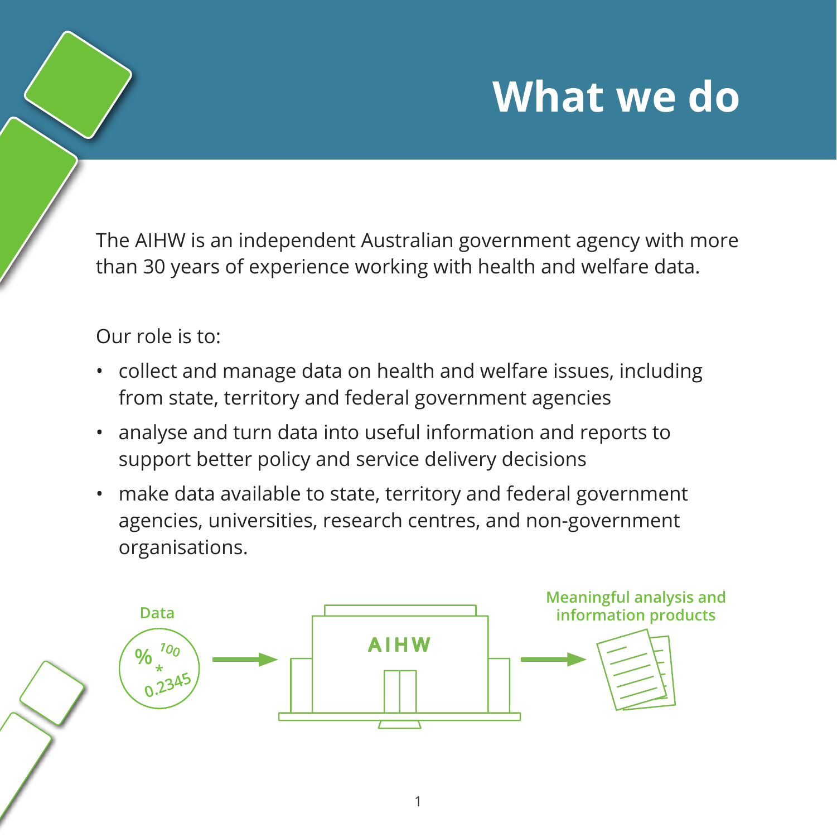### **What we do**

The AIHW is an independent Australian government agency with more than 30 years of experience working with health and welfare data.

#### Our role is to:

- collect and manage data on health and welfare issues, including from state, territory and federal government agencies
- analyse and turn data into useful information and reports to support better policy and service delivery decisions
- make data available to state, territory and federal government agencies, universities, research centres, and non-government organisations.

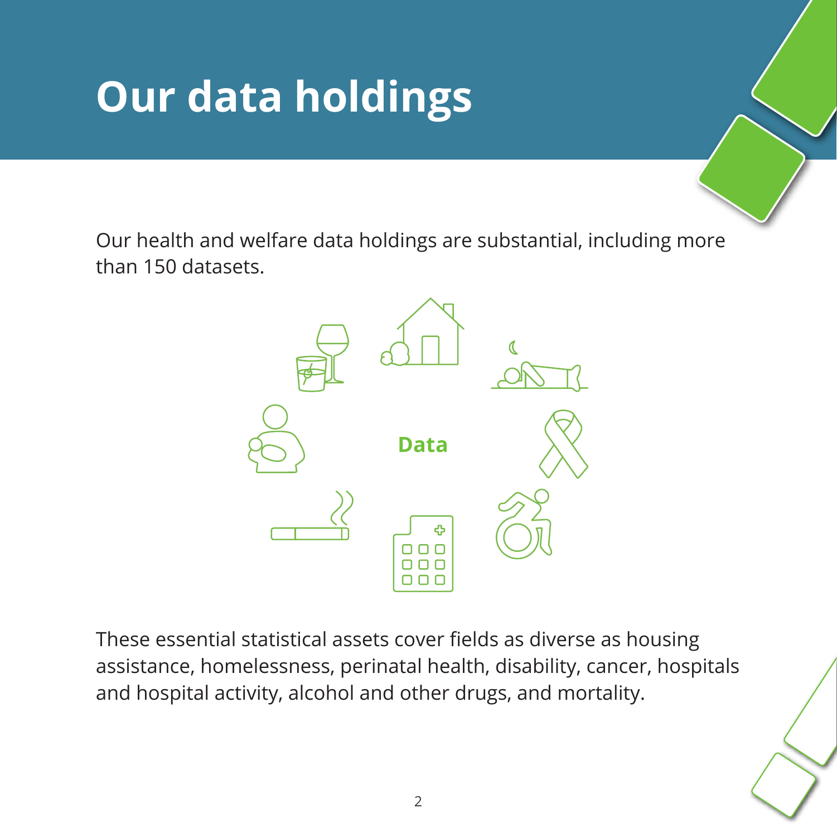## **Our data holdings**

Our health and welfare data holdings are substantial, including more than 150 datasets.



These essential statistical assets cover fields as diverse as housing assistance, homelessness, perinatal health, disability, cancer, hospitals and hospital activity, alcohol and other drugs, and mortality.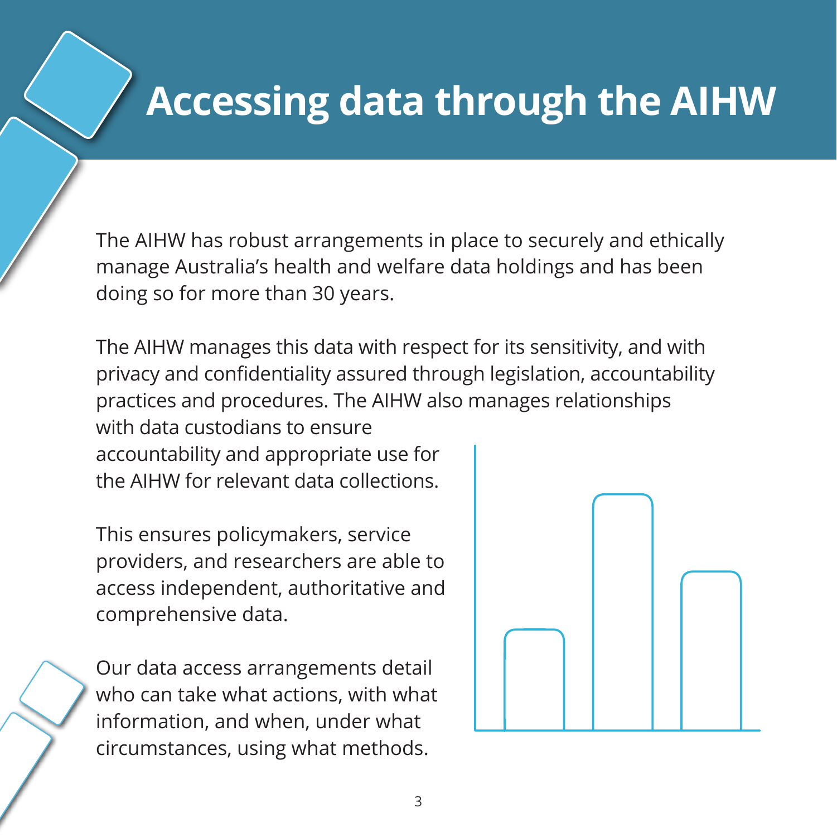### **Accessing data through the AIHW**

The AIHW has robust arrangements in place to securely and ethically manage Australia's health and welfare data holdings and has been doing so for more than 30 years.

The AIHW manages this data with respect for its sensitivity, and with privacy and confidentiality assured through legislation, accountability practices and procedures. The AIHW also manages relationships with data custodians to ensure accountability and appropriate use for the AIHW for relevant data collections.

This ensures policymakers, service providers, and researchers are able to access independent, authoritative and comprehensive data.

Our data access arrangements detail who can take what actions, with what information, and when, under what circumstances, using what methods.

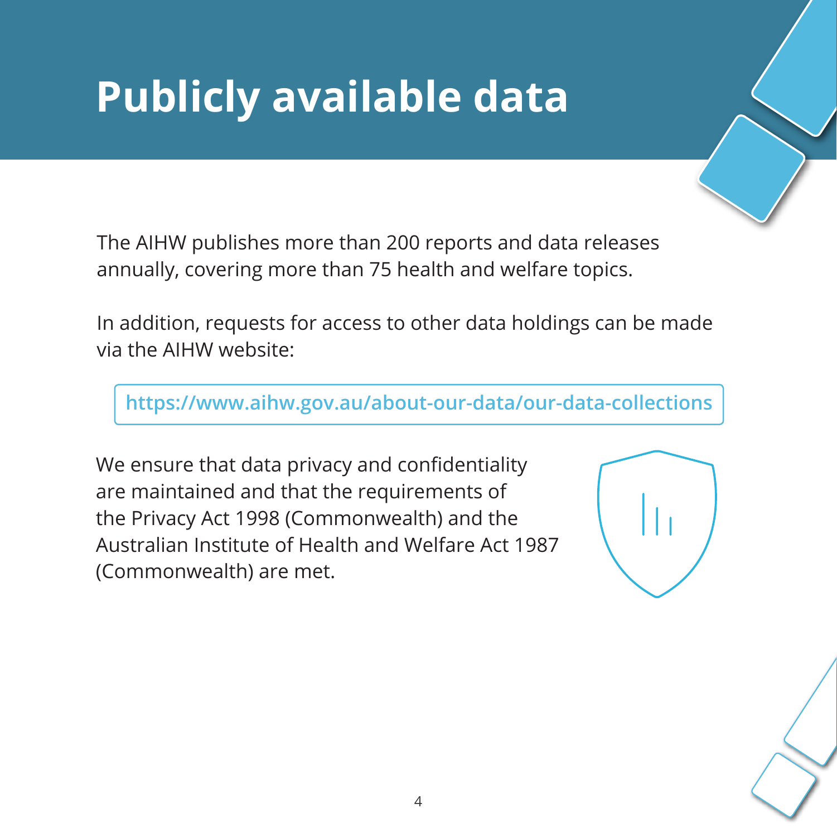# **Publicly available data**

The AIHW publishes more than 200 reports and data releases annually, covering more than 75 health and welfare topics.

In addition, requests for access to other data holdings can be made via the AIHW website:

**https://www.aihw.gov.au/about-our-data/our-data-collections**

We ensure that data privacy and confidentiality are maintained and that the requirements of the Privacy Act 1998 (Commonwealth) and the Australian Institute of Health and Welfare Act 1987 (Commonwealth) are met.



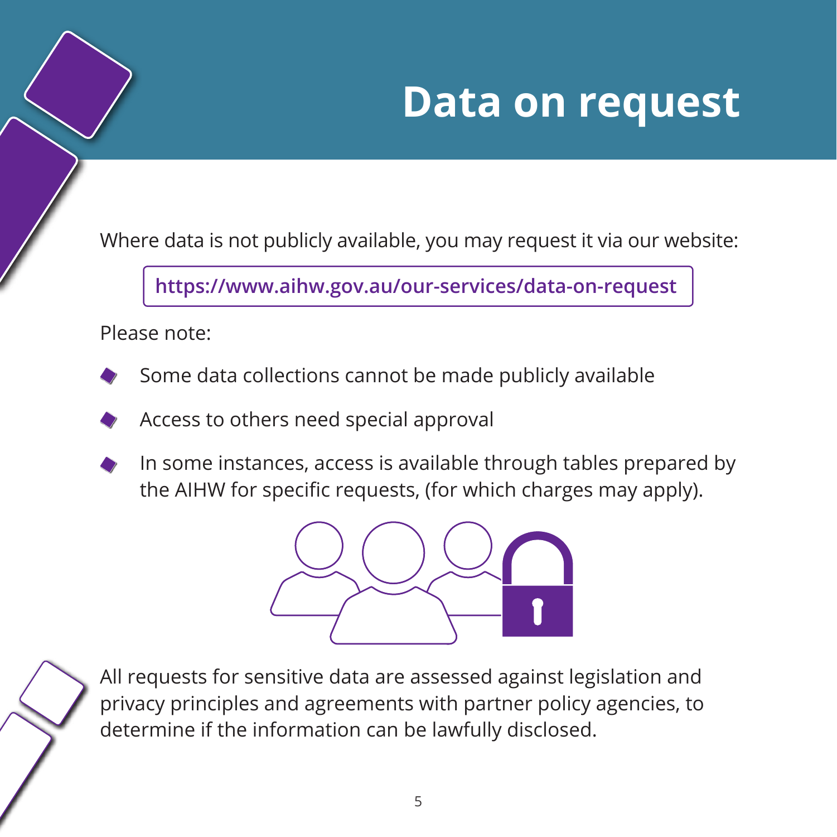### **Ad hoc data requests Data on request**

Where data is not publicly available, you may request it via our website:

**https://www.aihw.gov.au/our-services/data-on-request**

Please note:

- Some data collections cannot be made publicly available
- Access to others need special approval
- In some instances, access is available through tables prepared by the AIHW for specific requests, (for which charges may apply).



All requests for sensitive data are assessed against legislation and privacy principles and agreements with partner policy agencies, to determine if the information can be lawfully disclosed.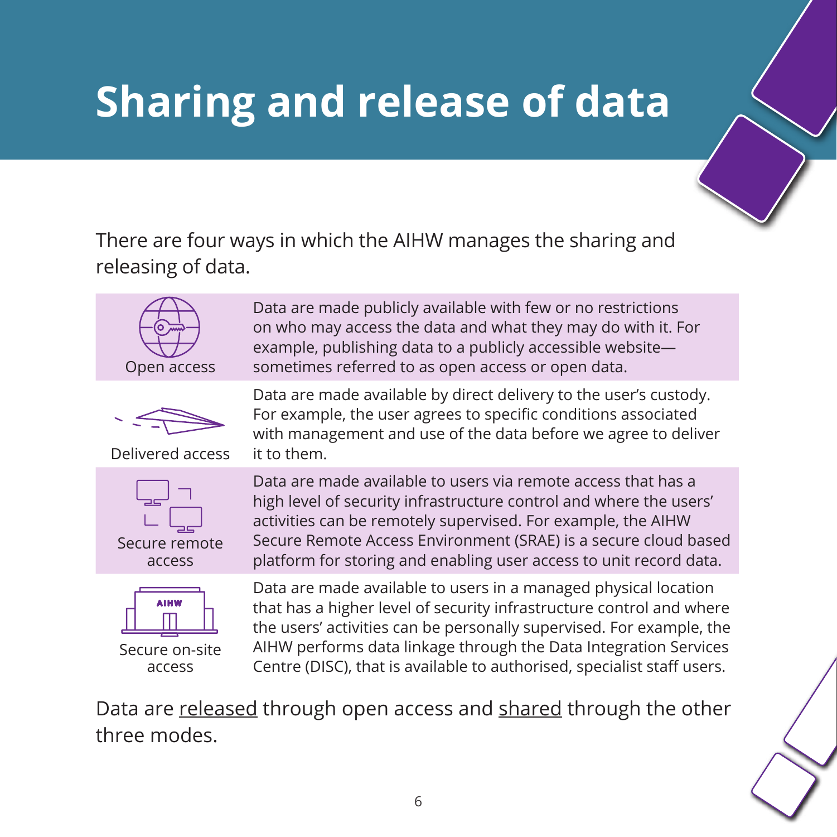## **Sharing and release of data Sharing and release of data**

There are four ways in which the AIHW manages the sharing and releasing of data.



Data are made publicly available with few or no restrictions on who may access the data and what they may do with it. For example, publishing data to a publicly accessible website sometimes referred to as open access or open data.

Data are made available by direct delivery to the user's custody. For example, the user agrees to specific conditions associated with management and use of the data before we agree to deliver



Delivered access

it to them.





Secure on-site access

Data are made available to users via remote access that has a high level of security infrastructure control and where the users' activities can be remotely supervised. For example, the AIHW Secure Remote Access Environment (SRAE) is a secure cloud based platform for storing and enabling user access to unit record data.

Data are made available to users in a managed physical location that has a higher level of security infrastructure control and where the users' activities can be personally supervised. For example, the AIHW performs data linkage through the Data Integration Services Centre (DISC), that is available to authorised, specialist staff users.

Data are released through open access and shared through the other three modes.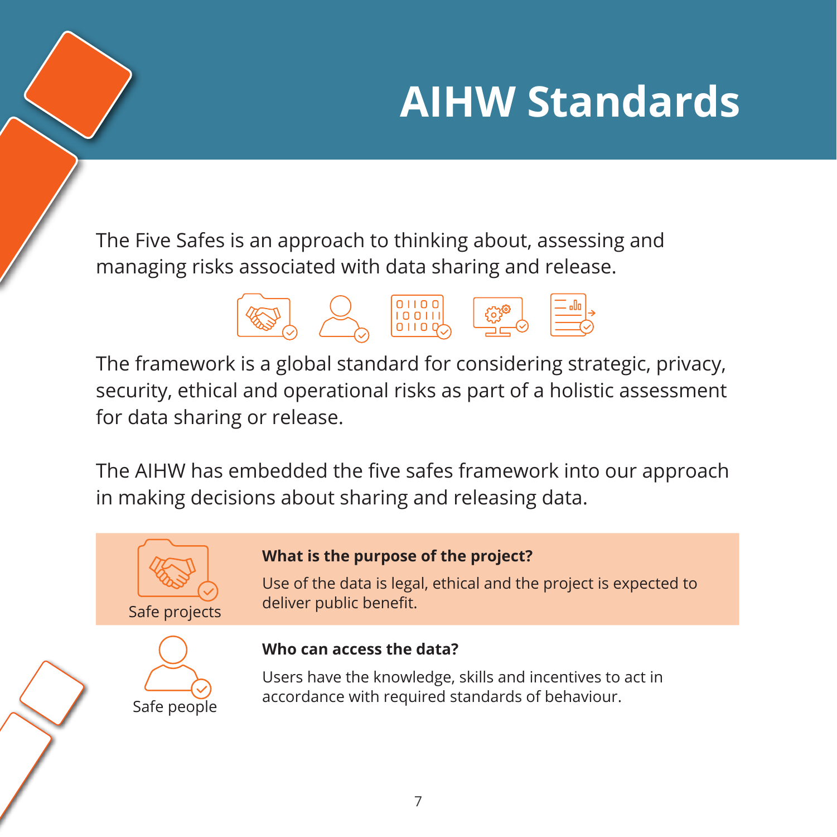# **AIHW Standards**

The Five Safes is an approach to thinking about, assessing and managing risks associated with data sharing and release.



The framework is a global standard for considering strategic, privacy, security, ethical and operational risks as part of a holistic assessment for data sharing or release.

The AIHW has embedded the five safes framework into our approach in making decisions about sharing and releasing data.





#### **What is the purpose of the project?**

Use of the data is legal, ethical and the project is expected to deliver public benefit.

#### **Who can access the data?**

Users have the knowledge, skills and incentives to act in accordance with required standards of behaviour.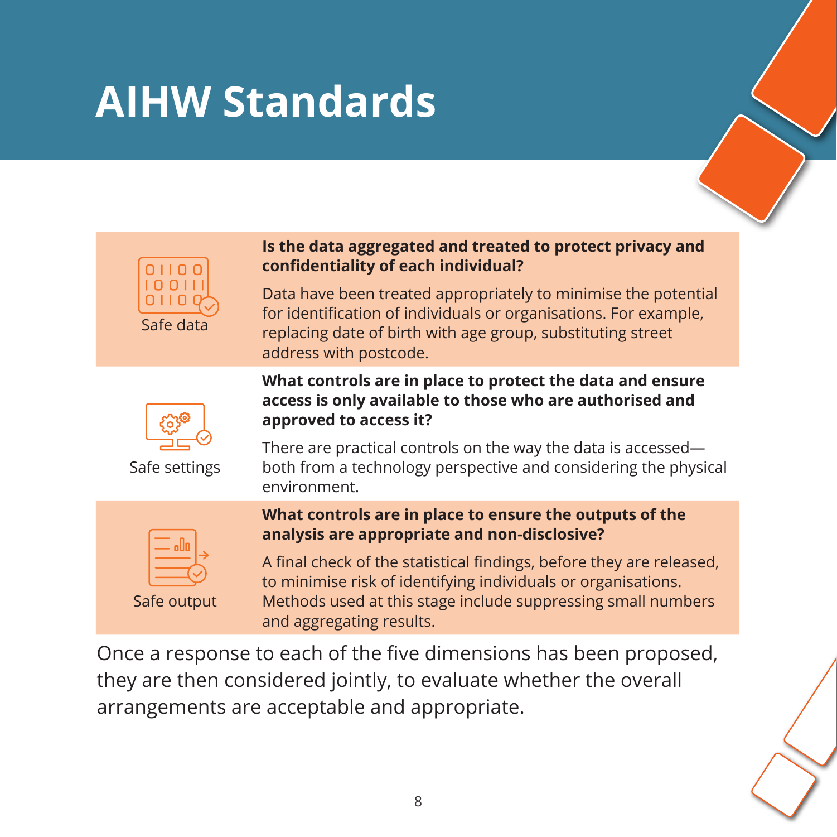### **AIHW Standards**



#### **Is the data aggregated and treated to protect privacy and confidentiality of each individual?**

Data have been treated appropriately to minimise the potential for identification of individuals or organisations. For example, replacing date of birth with age group, substituting street address with postcode.

**What controls are in place to protect the data and ensure access is only available to those who are authorised and** 



Safe settings

There are practical controls on the way the data is accessed both from a technology perspective and considering the physical environment.

| oUa |  |
|-----|--|
|     |  |

Safe output

#### **What controls are in place to ensure the outputs of the analysis are appropriate and non-disclosive?**

A final check of the statistical findings, before they are released, to minimise risk of identifying individuals or organisations. Methods used at this stage include suppressing small numbers and aggregating results.

Once a response to each of the five dimensions has been proposed, they are then considered jointly, to evaluate whether the overall arrangements are acceptable and appropriate.

**approved to access it?**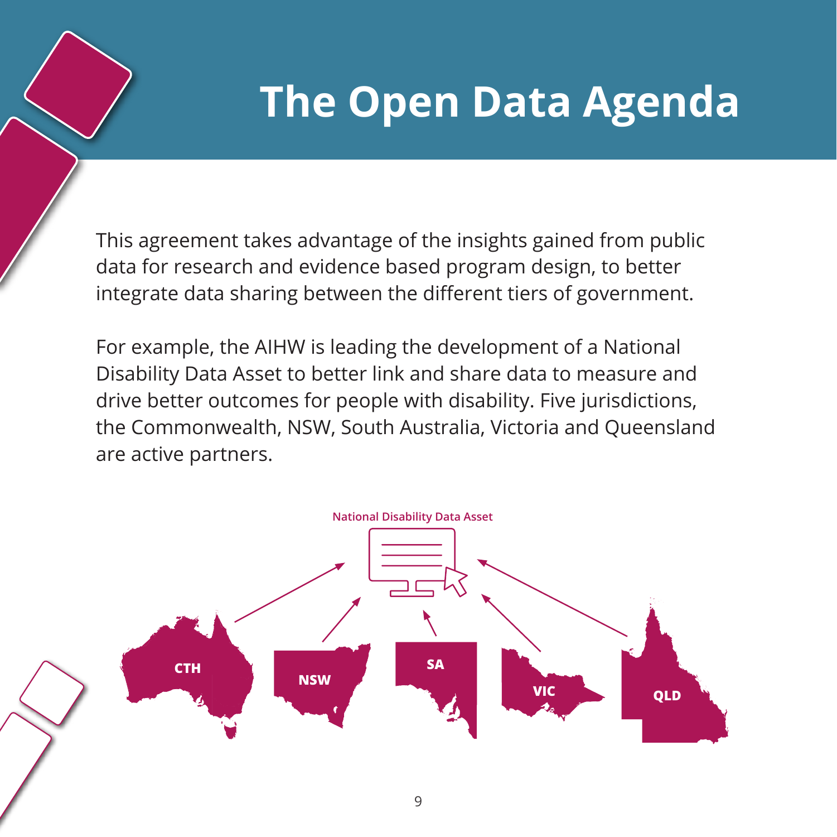### **The Open Data Agenda**

This agreement takes advantage of the insights gained from public data for research and evidence based program design, to better integrate data sharing between the different tiers of government.

For example, the AIHW is leading the development of a National Disability Data Asset to better link and share data to measure and drive better outcomes for people with disability. Five jurisdictions, the Commonwealth, NSW, South Australia, Victoria and Queensland are active partners.

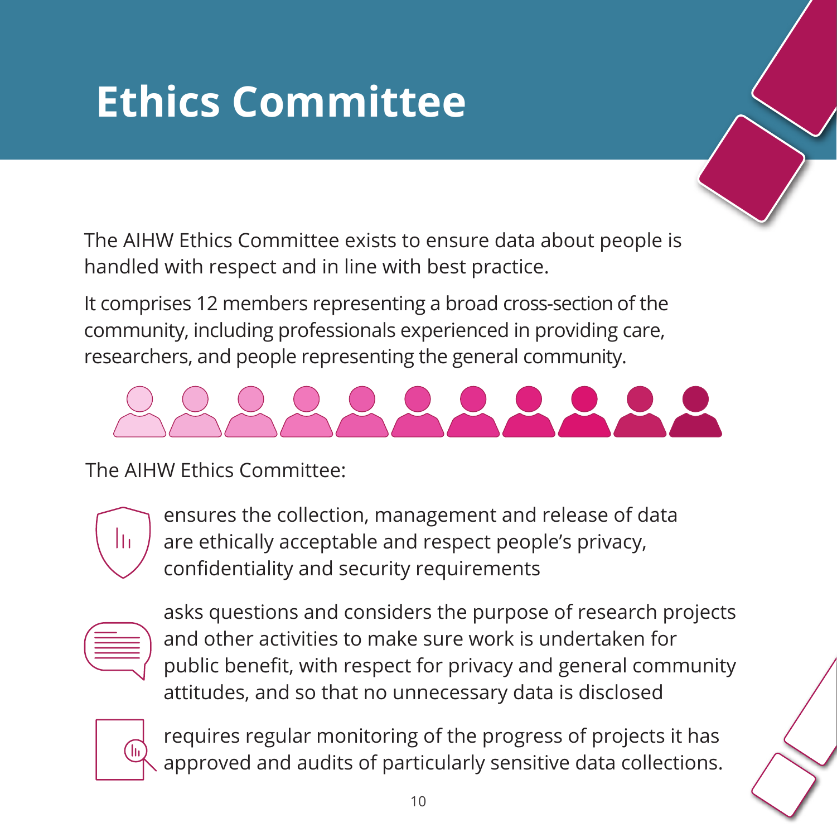# **Ethics Committee**

The AIHW Ethics Committee exists to ensure data about people is handled with respect and in line with best practice.

It comprises 12 members representing a broad cross-section of the community, including professionals experienced in providing care, researchers, and people representing the general community.



The AIHW Ethics Committee:



ensures the collection, management and release of data are ethically acceptable and respect people's privacy, confidentiality and security requirements

| the control of the control of the                                               |  |
|---------------------------------------------------------------------------------|--|
| the contract of the contract of the contract of the contract of the contract of |  |
|                                                                                 |  |

asks questions and considers the purpose of research projects and other activities to make sure work is undertaken for public benefit, with respect for privacy and general community attitudes, and so that no unnecessary data is disclosed



requires regular monitoring of the progress of projects it has approved and audits of particularly sensitive data collections.